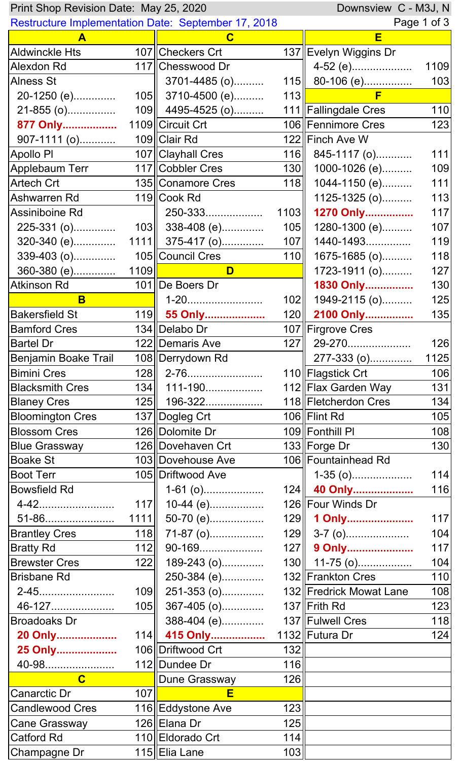| Downsview C - M3J, N<br>Print Shop Revision Date: May 25, 2020                                                                                                                                                                       |      |                       |     |                         |      |  |  |
|--------------------------------------------------------------------------------------------------------------------------------------------------------------------------------------------------------------------------------------|------|-----------------------|-----|-------------------------|------|--|--|
| <b>Restructure Implementation Date: September 17, 2018</b>                                                                                                                                                                           |      |                       |     | Page 1 of 3             |      |  |  |
| A                                                                                                                                                                                                                                    |      | C                     |     | E                       |      |  |  |
| <b>Aldwinckle Hts</b>                                                                                                                                                                                                                |      | 107 Checkers Crt      |     | 137 Evelyn Wiggins Dr   |      |  |  |
| <b>Alexdon Rd</b>                                                                                                                                                                                                                    |      | 117 Chesswood Dr      |     | 4-52 (e)                | 1109 |  |  |
| <b>Alness St</b>                                                                                                                                                                                                                     |      | $3701 - 4485$ (o)     |     | 115 $\  80 - 106$ (e)   | 103  |  |  |
| 20-1250 (e)                                                                                                                                                                                                                          |      | $105$   3710-4500 (e) | 113 | F                       |      |  |  |
| 21-855 (o)                                                                                                                                                                                                                           |      | 109 4495-4525 (o)     |     | 111 Fallingdale Cres    | 110  |  |  |
| 877 Only                                                                                                                                                                                                                             |      | 1109 Circuit Crt      |     | 106 Fennimore Cres      | 123  |  |  |
| $907 - 1111$ (o)                                                                                                                                                                                                                     |      | 109 Clair Rd          |     | 122 Finch Ave W         |      |  |  |
| Apollo PI                                                                                                                                                                                                                            |      | 107 Clayhall Cres     |     | $116$ 845-1117 (o)      | 111  |  |  |
| Applebaum Terr                                                                                                                                                                                                                       |      | 117 Cobbler Cres      |     | 130    1000-1026 (e)    | 109  |  |  |
| Artech Crt                                                                                                                                                                                                                           |      | 135 Conamore Cres     | 118 | 1044-1150 (e)           | 111  |  |  |
| Ashwarren Rd                                                                                                                                                                                                                         |      | 119 Cook Rd           |     | 1125-1325 (o)           | 113  |  |  |
| Assiniboine Rd                                                                                                                                                                                                                       |      | 250-333               |     | 1103 1270 Only          | 117  |  |  |
| 225-331 (o)                                                                                                                                                                                                                          |      | $103$ 338-408 (e)     |     | $105$   1280-1300 (e)   | 107  |  |  |
| 320-340 (e)                                                                                                                                                                                                                          |      | $1111$ 375-417 (o)    |     | $107$   1440-1493       | 119  |  |  |
| 339-403 (o)                                                                                                                                                                                                                          |      | 105 Council Cres      | 110 | 1675-1685 (o)           | 118  |  |  |
| 360-380 (e)                                                                                                                                                                                                                          | 1109 | D                     |     | 1723-1911 (o)           | 127  |  |  |
| <b>Atkinson Rd</b>                                                                                                                                                                                                                   |      | 101 De Boers Dr       |     | 1830 Only               | 130  |  |  |
| B                                                                                                                                                                                                                                    |      | 1-20                  | 102 | 1949-2115 (o)           | 125  |  |  |
| <b>Bakersfield St</b>                                                                                                                                                                                                                |      | 119 55 Only           |     | 120 2100 Only           | 135  |  |  |
| <b>Bamford Cres</b>                                                                                                                                                                                                                  |      | 134 Delabo Dr         |     | 107 Firgrove Cres       |      |  |  |
| <b>Bartel Dr</b>                                                                                                                                                                                                                     |      | 122 Demaris Ave       |     | $127$   29-270          | 126  |  |  |
| Benjamin Boake Trail                                                                                                                                                                                                                 |      | 108 Derrydown Rd      |     | 277-333 (o) <u></u>     | 1125 |  |  |
| <b>Bimini Cres</b>                                                                                                                                                                                                                   |      | $128$    2-76         |     | 110 Flagstick Crt       | 106  |  |  |
| <b>Blacksmith Cres</b>                                                                                                                                                                                                               |      | 134    111-190        |     | 112∥Flax Garden Way     | 131  |  |  |
| <b>Blaney Cres</b>                                                                                                                                                                                                                   |      | 125   196-322         |     | 118 Fletcherdon Cres    | 134  |  |  |
| <b>Bloomington Cres</b>                                                                                                                                                                                                              |      | 137 Dogleg Crt        |     | 106 Flint Rd            | 105  |  |  |
| <b>Blossom Cres</b>                                                                                                                                                                                                                  |      | 126 Dolomite Dr       |     | 109 Fonthill PI         | 108  |  |  |
| <b>Blue Grassway</b>                                                                                                                                                                                                                 |      | 126 Dovehaven Crt     |     | 133 Forge Dr            | 130  |  |  |
| <b>Boake St</b>                                                                                                                                                                                                                      |      | 103 Dovehouse Ave     |     | 106 Fountainhead Rd     |      |  |  |
| <b>Boot Terr</b>                                                                                                                                                                                                                     |      | 105   Driftwood Ave   |     | $1-35$ (o)              | 114  |  |  |
| <b>Bowsfield Rd</b>                                                                                                                                                                                                                  |      | $1-61$ (o)            |     | 124 40 Only             | 116  |  |  |
| 4-42                                                                                                                                                                                                                                 | 117  | 10-44 (e)             |     | 126 Four Winds Dr       |      |  |  |
| 51-86                                                                                                                                                                                                                                |      | $1111$    50-70 (e)   |     | 129 1 Only              | 117  |  |  |
| <b>Brantley Cres</b>                                                                                                                                                                                                                 | 118  | 71-87 (o)             |     | $129$ 3-7 (o)           | 104  |  |  |
| <b>Bratty Rd</b>                                                                                                                                                                                                                     | 112  | 90-169                |     | 127 9 Only              | 117  |  |  |
| <b>Brewster Cres</b>                                                                                                                                                                                                                 | 122  | 189-243 (o)           |     | $130$    11-75 (o)      | 104  |  |  |
| <b>Brisbane Rd</b>                                                                                                                                                                                                                   |      | 250-384 (e)           |     | 132 Frankton Cres       | 110  |  |  |
| 2-45                                                                                                                                                                                                                                 | 109  | 251-353 (o)           |     | 132 Fredrick Mowat Lane | 108  |  |  |
| 46-127                                                                                                                                                                                                                               | 105  | 367-405 (o)           |     | 137 Frith Rd            | 123  |  |  |
| <b>Broadoaks Dr</b>                                                                                                                                                                                                                  |      | 388-404 (e)           |     | 137 Fulwell Cres        | 118  |  |  |
| 20 Only                                                                                                                                                                                                                              |      | 114 415 Only          |     | 1132 Futura Dr          | 124  |  |  |
| 25 Only                                                                                                                                                                                                                              |      | 106 Driftwood Crt     | 132 |                         |      |  |  |
| 40-98                                                                                                                                                                                                                                |      | 112 Dundee Dr         | 116 |                         |      |  |  |
| <u>in the contract of the contract of the contract of the contract of the contract of the contract of the contract of the contract of the contract of the contract of the contract of the contract of the contract of the contra</u> |      | Dune Grassway         | 126 |                         |      |  |  |
| Canarctic Dr                                                                                                                                                                                                                         | 107  | E                     |     |                         |      |  |  |
| <b>Candlewood Cres</b>                                                                                                                                                                                                               |      | 116 Eddystone Ave     | 123 |                         |      |  |  |
| Cane Grassway                                                                                                                                                                                                                        |      | 126 Elana Dr          | 125 |                         |      |  |  |
| <b>Catford Rd</b>                                                                                                                                                                                                                    |      | 110 Eldorado Crt      | 114 |                         |      |  |  |
| Champagne Dr                                                                                                                                                                                                                         |      | 115 Elia Lane         | 103 |                         |      |  |  |
|                                                                                                                                                                                                                                      |      |                       |     |                         |      |  |  |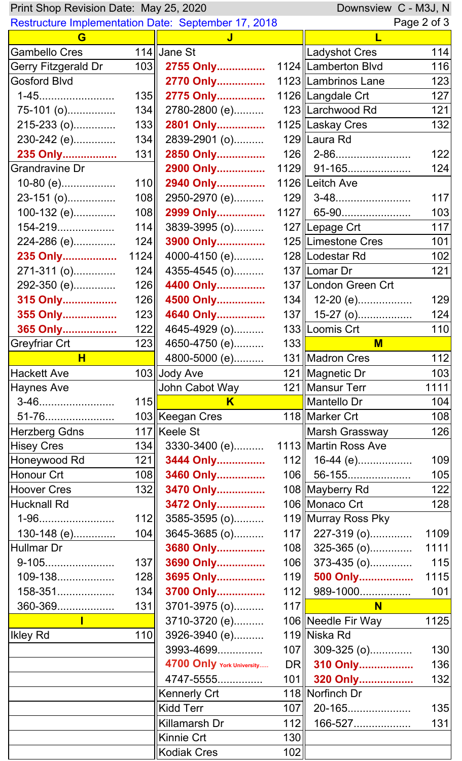| Downsview C - M3J, N<br>Print Shop Revision Date: May 25, 2020 |      |                                                            |            |                       |             |
|----------------------------------------------------------------|------|------------------------------------------------------------|------------|-----------------------|-------------|
|                                                                |      | <b>Restructure Implementation Date: September 17, 2018</b> |            |                       | Page 2 of 3 |
| G                                                              |      | J                                                          |            |                       |             |
| <b>Gambello Cres</b>                                           |      | 114 Jane St                                                |            | Ladyshot Cres         | 114         |
| <b>Gerry Fitzgerald Dr</b>                                     | 103  | 2755 Only                                                  |            | 1124   Lamberton Blvd | 116         |
| <b>Gosford Blvd</b>                                            |      | 2770 Only                                                  |            | 1123 Lambrinos Lane   | 123         |
| 1-45                                                           | 135  | 2775 Only                                                  |            | 1126 Langdale Crt     | 127         |
| 75-101 (o)                                                     | 134  | 2780-2800 (e)                                              |            | 123 Larchwood Rd      | 121         |
| 215-233 (o)                                                    | 133  | 2801 Only                                                  |            | 1125 Laskay Cres      | 132         |
| 230-242 (e)                                                    | 134  | 2839-2901 (o)                                              |            | 129 Laura Rd          |             |
| 235 Only                                                       | 131  | 2850 Only                                                  |            | 126    2-86           | 122         |
| <b>Grandravine Dr</b>                                          |      | 2900 Only                                                  |            | 1129    91-165        | 124         |
| $10-80$ (e)                                                    | 110  | 2940 Only                                                  |            | 1126 Leitch Ave       |             |
| 23-151 (o)                                                     | 108  | 2950-2970 (e)                                              |            | 129    3-48           | 117         |
| 100-132 (e)                                                    | 108  | 2999 Only                                                  |            | $1127$ 65-90          | 103         |
| 154-219                                                        | 114  | 3839-3995 (o)                                              |            | 127 Lepage Crt        | 117         |
| 224-286 (e)                                                    | 124  | 3900 Only                                                  |            | 125   Limestone Cres  | 101         |
| 235 Only                                                       | 1124 | 4000-4150 (e)                                              |            | 128   Lodestar Rd     | 102         |
| 271-311 (o)                                                    | 124  | 4355-4545 (o)                                              |            | 137 Lomar Dr          | 121         |
| 292-350 (e)                                                    | 126  | 4400 Only                                                  |            | 137 London Green Crt  |             |
| 315 Only                                                       | 126  | 4500 Only                                                  |            | $134$   12-20 (e)     | 129         |
| 355 Only                                                       | 123  | 4640 Only                                                  |            | $137$   15-27 (o)     | 124         |
| 365 Only                                                       | 122  | 4645-4929 (o)                                              |            | 133 Loomis Crt        | 110         |
| <b>Greyfriar Crt</b>                                           | 123  | 4650-4750 (e)                                              | 133        | M                     |             |
| $\overline{\mathbf{H}}$                                        |      | 4800-5000 (e)                                              |            | 131 Madron Cres       | 112         |
| <b>Hackett Ave</b>                                             |      | 103 Jody Ave                                               |            | 121   Magnetic Dr     | 103         |
| <b>Haynes Ave</b>                                              |      | John Cabot Way                                             |            | 121   Mansur Terr     | 1111        |
| 3-46                                                           | 115  | $K^-$                                                      |            | Mantello Dr           | 104         |
| 51-76                                                          |      | 103 Keegan Cres                                            |            | 118 Marker Crt        | 108         |
| <b>Herzberg Gdns</b>                                           |      | 117 Keele St                                               |            | Marsh Grassway        | 126         |
| <b>Hisey Cres</b>                                              | 134  | 3330-3400 (e)                                              |            | 1113 Martin Ross Ave  |             |
| Honeywood Rd                                                   | 121  | 3444 Only                                                  |            | $112$ 16-44 (e)       | 109         |
| Honour Crt                                                     | 108  | 3460 Only                                                  |            | 106    56-155         | 105         |
| <b>Hoover Cres</b>                                             | 132  | 3470 Only                                                  |            | 108∥Mayberry Rd       | 122         |
| <b>Hucknall Rd</b>                                             |      | 3472 Only                                                  |            | 106∥Monaco Crt        | 128         |
| 1-96                                                           | 112  | 3585-3595 (o)                                              |            | 119 Murray Ross Pky   |             |
| 130-148 (e)                                                    | 104  | 3645-3685 (o)                                              |            | 117 227-319 (o)       | 1109        |
| <b>Hullmar Dr</b>                                              |      | 3680 Only                                                  |            | $108$ 325-365 (o)     | 1111        |
| 9-105                                                          | 137  | 3690 Only                                                  | 106        | 373-435 (o)           | 115         |
| 109-138                                                        | 128  | 3695 Only                                                  |            | 119 500 Only          | 1115        |
| 158-351                                                        | 134  | 3700 Only                                                  |            | $112$ 989-1000        | 101         |
| 360-369                                                        | 131  | 3701-3975 (o)                                              | 117        | <b>N</b>              |             |
|                                                                |      | 3710-3720 (e)                                              |            | 106 Needle Fir Way    | 1125        |
| <b>Ikley Rd</b>                                                | 110  | 3926-3940 (e)                                              |            | 119 Niska Rd          |             |
|                                                                |      | 3993-4699                                                  |            | 107 309-325 (o)       | 130         |
|                                                                |      | 4700 Only York University                                  |            | DR 310 Only           | 136         |
|                                                                |      |                                                            |            |                       | 132         |
|                                                                |      | 4747-5555                                                  |            | 101 320 Only          |             |
|                                                                |      | <b>Kennerly Crt</b>                                        |            | 118 Norfinch Dr       |             |
|                                                                |      | <b>Kidd Terr</b><br>Killamarsh Dr                          | 107        | 20-165                | 135         |
|                                                                |      |                                                            | 112        | 166-527               | 131         |
|                                                                |      |                                                            |            |                       |             |
|                                                                |      | Kinnie Crt<br><b>Kodiak Cres</b>                           | 130<br>102 |                       |             |